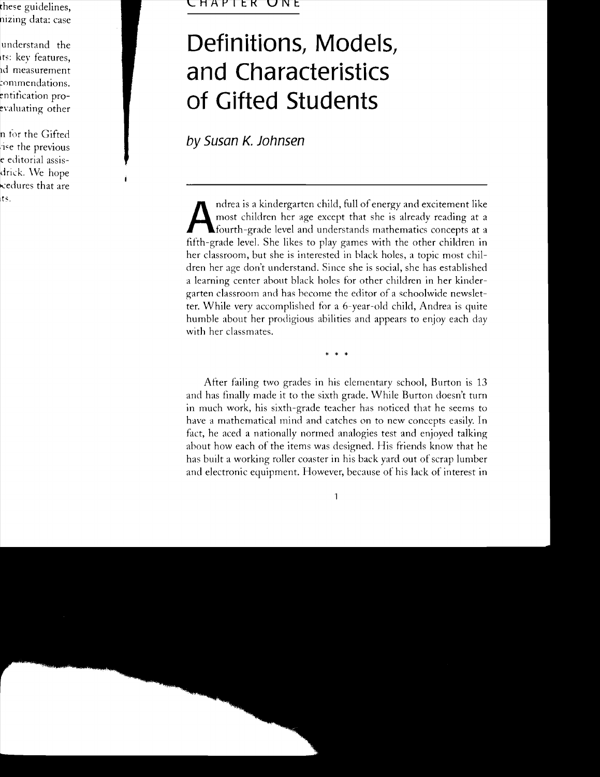### **\""HAt-'ltt< VI\lt**

# **Definitions, Models, and Characteristics of Gifted Students**

**by Susan K. Johnsen** 

Andrea is a kindergarten child, full of energy and excitement like<br>
fourth-grade level and understands mathematics concepts at a<br>
fight and also also like the change with the relationship in most children her age except that she is already reading at a fifth-grade level. She likes to play games with the other children in her classroom, but she is interested in black holes, a topic most children her age don't understand. Since she is social, she has established a learning center about black holes for other children in her kindergarten classroom and has become the editor of a schoolwide newsletter. While very accomplished for a 6-year-old child, Andrea is quite humble about her prodigious abilities and appears to enjoy each day with her classmates.

\* \* \*

After failing two grades in his elementary school, Burton is 13 and has finally made it to the sixth grade. While Burton doesn't turn in much work, his sixth-grade teacher has noticed that he seems to have a mathematical mind and catches on to new concepts easily. In fact, he aced a nationally normed analogies test and enjoyed talking about how each of the items was designed. His friends know that he has built a working roller coaster in his back yard out of scrap lumber and electronic equipment. However, because of his lack of interest in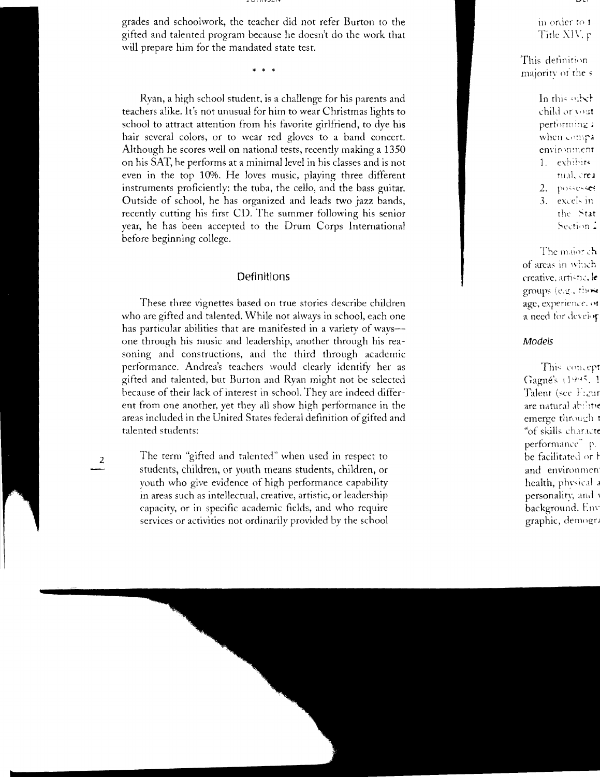grades and schoolwork, the teacher did not refer Burton to the gifted and talented program because he doesn't do the work that will prepare him for the mandated state test.

\* \* \*

Ryan, a high school student, is a challenge for his parents and teachers alike. It's not unusual for him to wear Christmas lights to school to attract attention from his favorite girlfriend, to dye his hair several colors, or to wear red gloves to a band concert. Although he scores well on national tests, recently making a 1350 on his SAT, he performs at a minimal level in his classes and is not even in the top 10%. He loves music, playing three different instruments proficiently: the tuba, the cello, and the bass guitar. Outside of school, he has organized and leads two jazz bands, recently cutting his first CD. The summer following his senior year, he has been accepted to the Drum Corps International before beginning college.

### **Definitions**

These three vignettes based on true stories describe children who are gifted and talented. While not always in school, each one has particular abilities that are manifested in a variety of waysone through his music and leadership, another through his reasoning and constructions, and the third through academic performance. Andrea's teachers would clearly identify her as gifted and talented, but Burton and Ryan might not be selected because of their lack of interest in school. They are indeed different from one another, yet they all show high performance in the areas included in the United States federal definition of gifted and talented students:

2 The term "gifted and talented" when used in respect to students, children, or youth means students, children, or youth who give evidence of high performance capability in areas such as intellectual, creative, artistic, or leadership capacity. or in specific academic fields, and who require services or activities not ordinarily provided by the school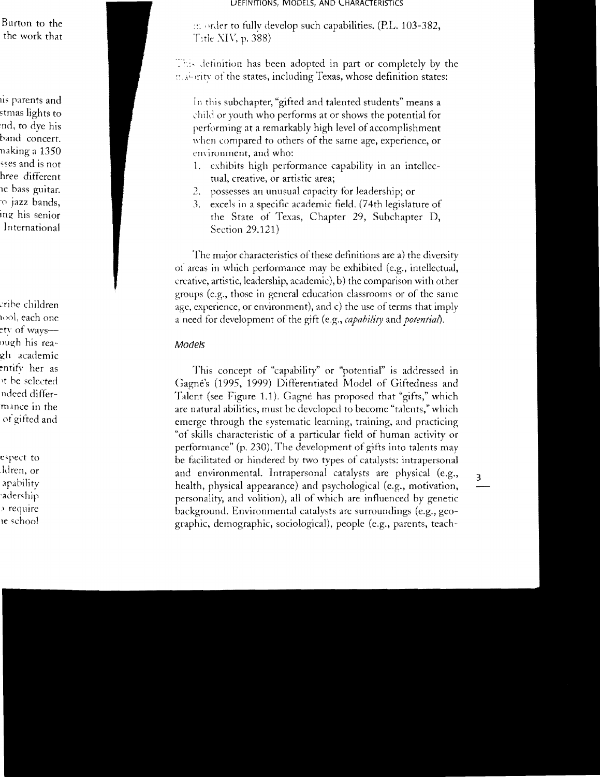: order to fully develop such capabilities. (P.L. 103-382, Title XIV, p.  $388$ )

This definition has been adopted in part or completely by the majority of the states, including Texas, whose definition states:

In this subchapter, "gifted and talented students" means a child or youth who performs at or shows the potential for performing at a remarkably high level of accomplishment when compared to others of the same age, experience, or environment, and who:

- exhibits high performance capability in an intellec-1. tual, creative, or artistic area:
- $2.$ possesses an unusual capacity for leadership; or
- excels in a specific academic field. (74th legislature of 3. the State of Texas, Chapter 29, Subchapter D, Section 29.121)

The major characteristics of these definitions are a) the diversity of areas in which performance may be exhibited (e.g., intellectual, creative, artistic, leadership, academic), b) the comparison with other groups (e.g., those in general education classrooms or of the same age, experience, or environment), and c) the use of terms that imply a need for development of the gift (e.g., capability and potential).

### Models

This concept of "capability" or "potential" is addressed in Gagné's (1995, 1999) Differentiated Model of Giftedness and Talent (see Figure 1.1). Gagné has proposed that "gifts," which are natural abilities, must be developed to become "talents," which emerge through the systematic learning, training, and practicing "of skills characteristic of a particular field of human activity or performance" (p. 230). The development of gifts into talents may be facilitated or hindered by two types of catalysts: intrapersonal and environmental. Intrapersonal catalysts are physical (e.g., health, physical appearance) and psychological (e.g., motivation, personality, and volition), all of which are influenced by genetic background. Environmental catalysts are surroundings (e.g., geographic, demographic, sociological), people (e.g., parents, teach-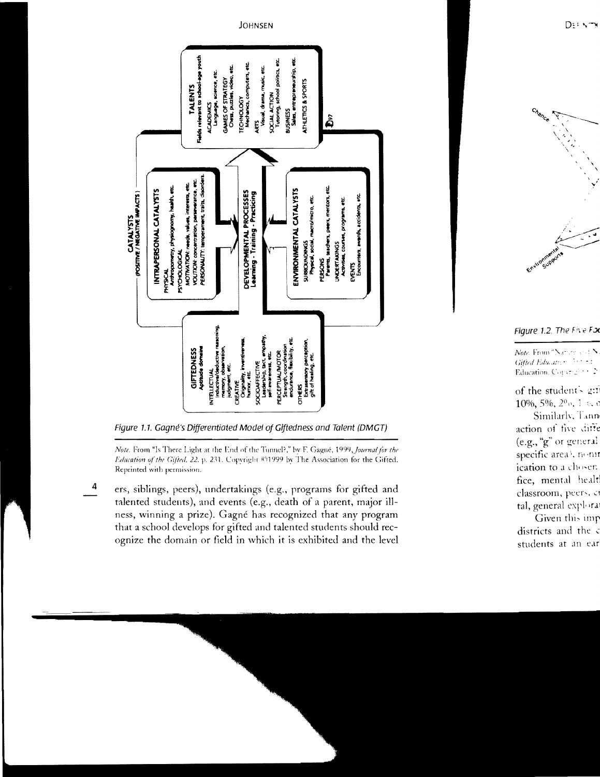

Figure 1.1. Gagné's Differentiated Model of Giftedness and Talent (DMGT)

Note. From "Is There Light at the End of the Tunnel?," by F. Gagné, 1999, Journal for the Education of the Gifted, 22. p. 231. Copyright @1999 by The Association for the Gifted. Reprinted with permission.

4 ers, siblings, peers), undertakings (e.g., programs for gifted and talented students), and events (e.g., death of a parent, major illness, winning a prize). Gagné has recognized that any program that a school develops for gifted and talented students should recognize the domain or field in which it is exhibited and the level

**JOHNSEN**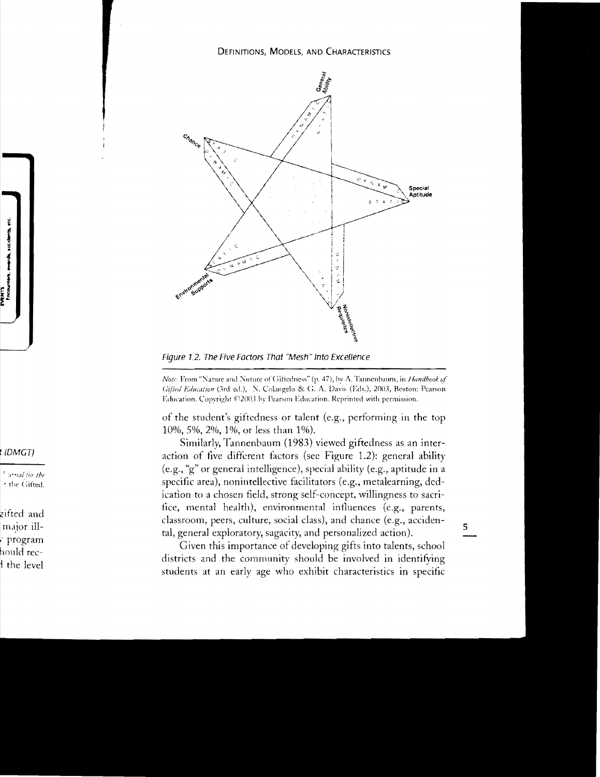

Figure 1.2. The Five Factors That "Mesh" Into Excellence

Note. From "Nature and Nuture of Giftedness" (p. 47), by A. Tannenbaum, in Handbook of Gifted Education (3rd ed.), N. Colangelo & G. A. Davis (Eds.), 2003, Boston: Pearson Education. Copyright ©2003 by Pearson Education. Reprinted with permission.

of the student's giftedness or talent (e.g., performing in the top 10%, 5%, 2%, 1%, or less than 1%).

Similarly, Tannenbaum (1983) viewed giftedness as an interaction of five different factors (see Figure 1.2): general ability (e.g., "g" or general intelligence), special ability (e.g., aptitude in a specific area), nonintellective facilitators (e.g., metalearning, dedication to a chosen field, strong self-concept, willingness to sacrifice, mental health), environmental influences (e.g., parents, classroom, peers, culture, social class), and chance (e.g., accidental, general exploratory, sagacity, and personalized action).

Given this importance of developing gifts into talents, school districts and the community should be involved in identifying students at an early age who exhibit characteristics in specific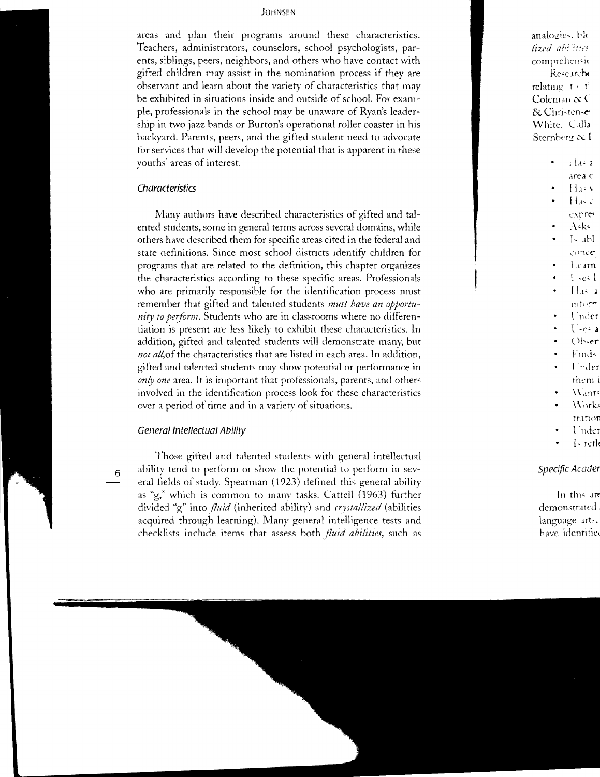areas and plan their programs around these characteristics. Teachers, administrators, counselors, school psychologists, parents, siblings, peers, neighbors, and others who have contact with gifted children may assist in the nomination process if they are observant and learn about the variety of characteristics that may be exhibited in situations inside and outside of school. For example, professionals in the school may be unaware of Ryan's leadership in two jazz bands or Burton's operational roller coaster in his backyard. Parents, peers, and the gifted student need to advocate for services that will develop the potential that is apparent in these youths' areas of interest.

## Characteristics

Many authors have described characteristics of gifted and talented students, some in general terms across several domains, while others have described them for specific areas cited in the federal and state definitions. Since most school districts identify children for programs that are related to the definition, this chapter organizes the characteristics according to these specific areas. Professionals who are primarily responsible for the identification process must remember that gifted and talented students *must have an opportu*nity to perform. Students who are in classrooms where no differentiation is present are less likely to exhibit these characteristics. In addition, gifted and talented students will demonstrate many, but *not all,*of the characteristics that are listed in each area. In addition, gifted and talented students may show potential or performance in *only one* area. It is important that professionals, parents, and others involved in the identification process look for these characteristics over a period of time and in a variety of situations.

### General Intellectual Ability

Those gifted and talented students with general intellectual  $6$  ability tend to perform or show the potential to perform in several fields of study. Spearman (1923) defined this general ability as "g," which is common to many tasks. Cattell (1963) further divided "g" into *fluid* (inherited ability) and *o:vstallized* (abilities acquired through learning). Many general intelligence tests and checklists include items that assess both *.fluid abilities,* such as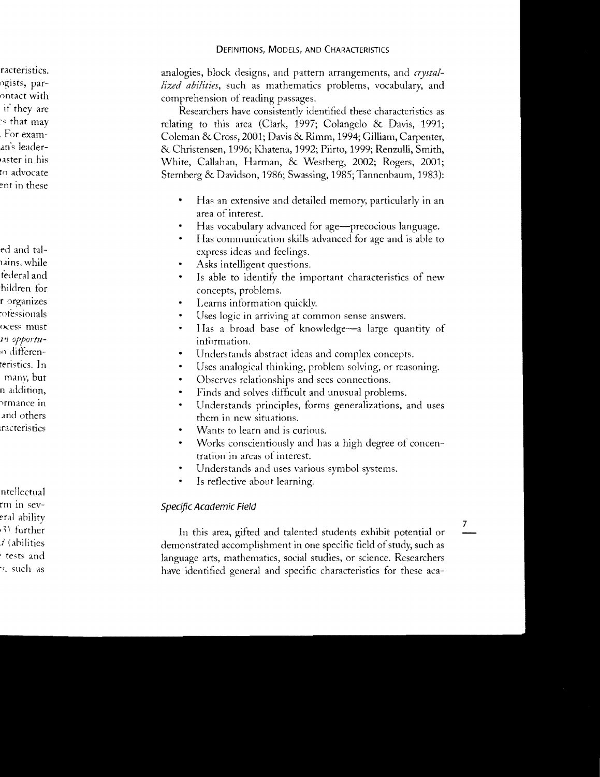analogies, block designs, and pattern arrangements, and *crystal*lized abilities, such as mathematics problems, vocabulary, and comprehension of reading passages.

Researchers have consistently identified these characteristics as relating to this area (Clark, 1997; Colangelo & Davis, 1991; Coleman & Cross, 2001; Davis & Rimm, 1994; Gilliam, Carpenter, & Christensen, 1996; Khatena, 1992; Piirto, 1999; Renzulli, Smith, White, Callahan, Harman, & Westberg, 2002; Rogers, 2001; Sternberg & Davidson, 1986; Swassing, 1985; Tannenbaum, 1983):

- ٠ Has an extensive and detailed memory, particularly in an area of interest.
- Has vocabulary advanced for age—precocious language.
- $\bullet$ Has communication skills advanced for age and is able to express ideas and feelings.
- Asks intelligent questions.
- Is able to identify the important characteristics of new concepts, problems.
- Learns information quickly.
- $\bullet$ Uses logic in arriving at common sense answers.
- Has a broad base of knowledge—a large quantity of information.
- Understands abstract ideas and complex concepts.
- Uses analogical thinking, problem solving, or reasoning. ٠
- $\bullet$ Observes relationships and sees connections.
- Finds and solves difficult and unusual problems.  $\bullet$
- Understands principles, forms generalizations, and uses ۰ them in new situations.
- Wants to learn and is curious.
- Works conscientiously and has a high degree of concen-۰ tration in areas of interest.
- Understands and uses various symbol systems.  $\bullet$
- ٠ Is reflective about learning.

# Specific Academic Field

In this area, gifted and talented students exhibit potential or demonstrated accomplishment in one specific field of study, such as language arts, mathematics, social studies, or science. Researchers have identified general and specific characteristics for these aca-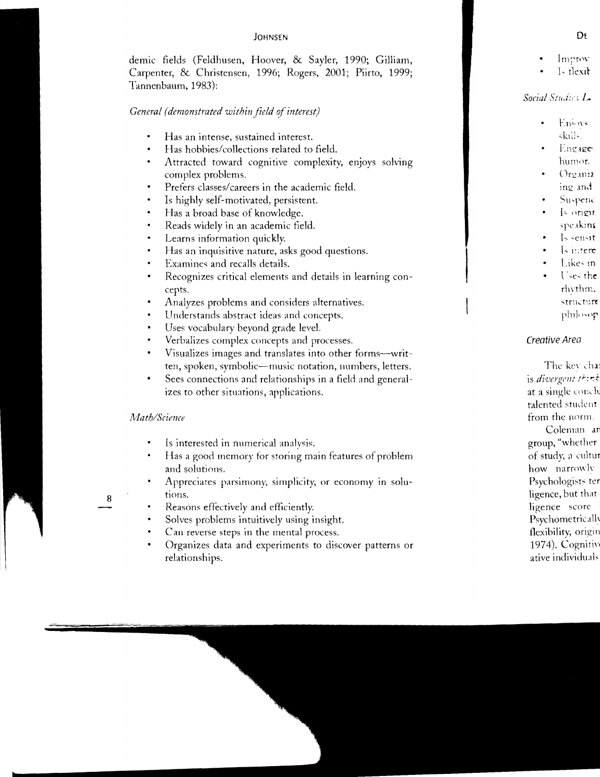demic fields (Feldhusen, Hoover, & Sayler, 1990; Gilliam, Carpenter, & Christensen, 1996; Rogers, 2001; Piirto, 1999; Tannenbaum, 1983):

# General (demonstrated within field of interest)

- Has an intense, sustained interest.  $\bullet$
- Has hobbies/collections related to field.
- Attracted toward cognitive complexity, enjoys solving  $\bullet$ complex problems.
- $\bullet$ Prefers classes/careers in the academic field.
- Is highly self-motivated, persistent.  $\bullet$
- Has a broad base of knowledge.  $\bullet$
- Reads widely in an academic field.  $\bullet$
- Learns information quickly.
- Has an inquisitive nature, asks good questions.  $\bullet$
- Examines and recalls details.
- Recognizes critical elements and details in learning con- $\bullet$ cepts.
- Analyzes problems and considers alternatives.  $\bullet$
- Understands abstract ideas and concepts.
- Uses vocabulary beyond grade level.  $\bullet$
- Verbalizes complex concepts and processes.  $\bullet$
- Visualizes images and translates into other forms--written, spoken, symbolic-music notation, numbers, letters.
- Sees connections and relationships in a field and general- $\bullet$ izes to other situations, applications.

# Math/Science

- Is interested in numerical analysis.
- Has a good memory for storing main features of problem  $\bullet$ and solutions.
- Appreciates parsimony, simplicity, or economy in solu- $\bullet$ tions.
- Reasons effectively and efficiently.
- $\bullet$ Solves problems intuitively using insight.
- Can reverse steps in the mental process.
- Organizes data and experiments to discover patterns or relationships.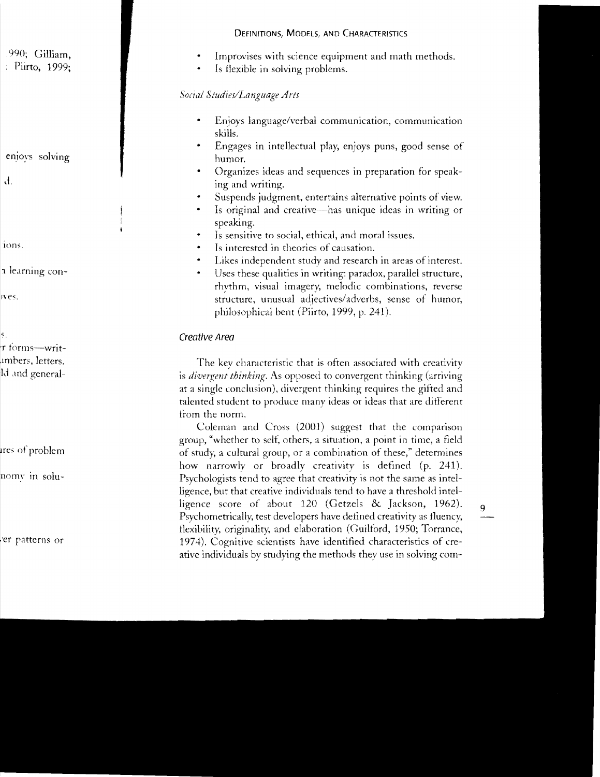- Improvises with science equipment and math methods.
- Is flexible in solving problems.

# *Social Studies/Language Arts*

- $\bullet$ Enjoys language/verbal communication, communication skills.
- Engages in intellectual play, enjoys puns, good sense of humor.
- Organizes ideas and sequences in preparation for speak ing and writing.
- Suspends judgment. entertains alternative points of view.
- Is original and creative--has unique ideas in writing or  $\bullet$ speaking.
- Is sensitive to social, ethical, and moral issues.
- Is interested in theories of causation.  $\bullet$
- Likes independent study and research in areas of interest.  $\bullet$
- Uses these qualities in writing: paradox. parallel structure,  $\bullet$ rhythm, visual imagery, melodic combinations, reverse structure, unusual adjectives/adverbs, sense of humor, philosophical bent (Piirto, 1999. p. 241).

# Creative Area

The key characteristic that is often associated with creativity is *divergent thinking*. As opposed to convergent thinking (arriving at a single conclusion), divergent thinking requires the gifted and talented student to produce many ideas or ideas that are ditferent from the norm.

Coleman and Cross (2001) suggest that the comparison group, "whether to selt: others, a situation, a point in time, a field of study, a cultural group, or a comhination of these," determines how narrowly or broadly creativity is defined (p. 241). Psychologists tend to agree that creativity is not the same as intelligence, but that creative individuals tend to have a threshold intelligence score of about 120 (Getzels & Jackson, 1962). Psychometrically, test developers have defined creativity as fluency, flexibility, originality, and elaboration (Guilford, 1950; Torrance, 1974). Cognitive scientists have identified characteristics of creative individuals by studying the methods they use in solving com-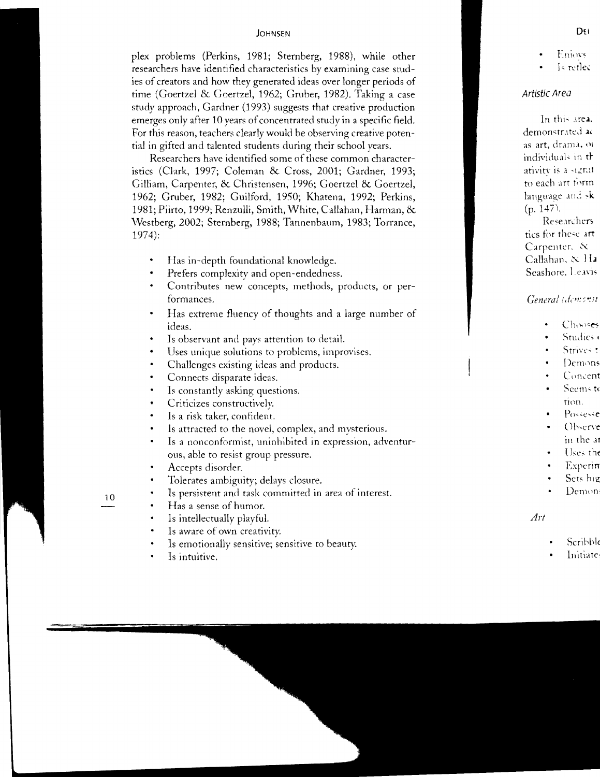plex problems (Perkins, 1981; Sternberg, 1988), while other researchers have identified characteristics by examining case studies of creators and how they generated ideas over longer periods of time (Goertzel & Goertzel, 1962; Gruber, 1982). Taking a case study approach, Gardner (1993) suggests that creative production emerges only after 10 years of concentrated study in a specific field. For this reason, teachers clearly would be observing creative potential in gifted and talented students during their school years.

Researchers have identified some of these common characteristics (Clark, 1997; Coleman & Cross, 2001; Gardner, 1993; Gilliam, Carpenter, & Christensen, 1996; Goertzel & Goertzel, 1962; Gruber, 1982; Guilford, 1950; Khatena, 1992; Perkins, 1981; Piirto, 1999; Renzulli, Smith, White, Callahan, Harman, & \Vestberg, 2002; Sternberg, 1988; Tannenbaum, 1983; Torrance, 1974):

- Has in-depth foundational knowledge.
- Prefers complexity and open-endedness.
- $\bullet$ Contributes new concepts, methods, products, or per formances.
- Has extreme fluency of thoughts and a large number of  $\bullet$ ideas.
- Is observant and pays attention to detail.
- Uses unique solutions to problems, improvises.
- Challenges existing ideas and products.
- $\bullet$ Connects disparate ideas.
- Is constantly asking questions.
- Criticizes constructivelv.
- Is a risk taker, confident.
- Is attracted to the novel, complex, and mysterious.  $\bullet$
- Is a nonconformist, uninhibited in expression. adventur ٠ ous, able to resist group pressure.
- Accepts disorder.
- Tolerates ambiguity; delays closure.
- 10 Is persistent and task committed in area of interest.
	- Has a sense of humor.
	- $\bullet$ Is intellectually playful.
	- Is aware of own creativity.
	- $\bullet$ Is emotionally sensitive; sensitive to beauty.
	- Is intuitive.  $\bullet$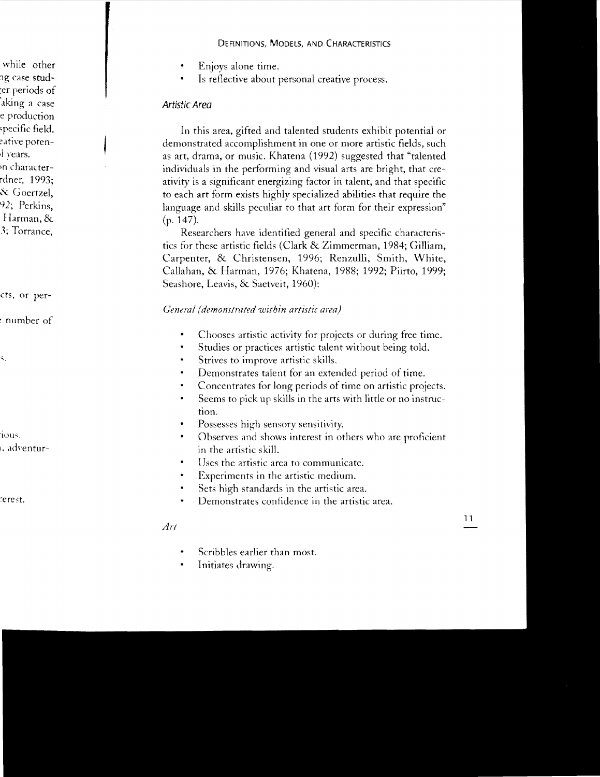- Enjoys alone time.
- Is reflective about personal creative process.  $\bullet$

# Artistic Area

In this area, gifted and talented students exhibit potential or demonstrated accomplishment in one or more artistic fields, such as art, drama, or music. Khatena (1992) suggested that "talented individuals in the performing and visual arts are bright, that creativity is a significant energizing factor in talent, and that specific to each art form exists highly specialized abilities that require the language and skills peculiar to that art form for their expression" (p.147).

Researchers have identified general and specific characteristics for these artistic fields (Clark & Zimmerman, 1984; Gilliam, Carpenter, & Christensen, 1996; Renzulli, Smith, \Vhite, Callahan, & Harman, 1976; Khatena, 1988; 1992; Piirto, 1999; Seashore, Leavis, & Saetveit, 1960):

# *General (demonstrated within artistic area)*

- Chooses artistic activity for projects or during free time.  $\bullet$
- Studies or practices artistic talent without being told.
- $\bullet$ Strives to improve artistic skills.
- $\bullet$ Demonstrates talent for an extended period of time.
- $\bullet$ Concentrates for long periods of time on artistic projects.
- $\bullet$ Seems to pick up skills in the arts with little or no instruc tion.
- Possesses high sensory sensitivity.
- Observes and shows interest in others who are proficient in the artistic skill.
- Uses the artistic area to communicate.
- Experiments in the artistic medium.  $\bullet$
- Sets high standards in the artistic area.  $\bullet$
- Demonstrates confidence in the artistic area.  $\bullet$

### *Art*

- Scribbles earlier than most.
- $\bullet$ Initiates drawing.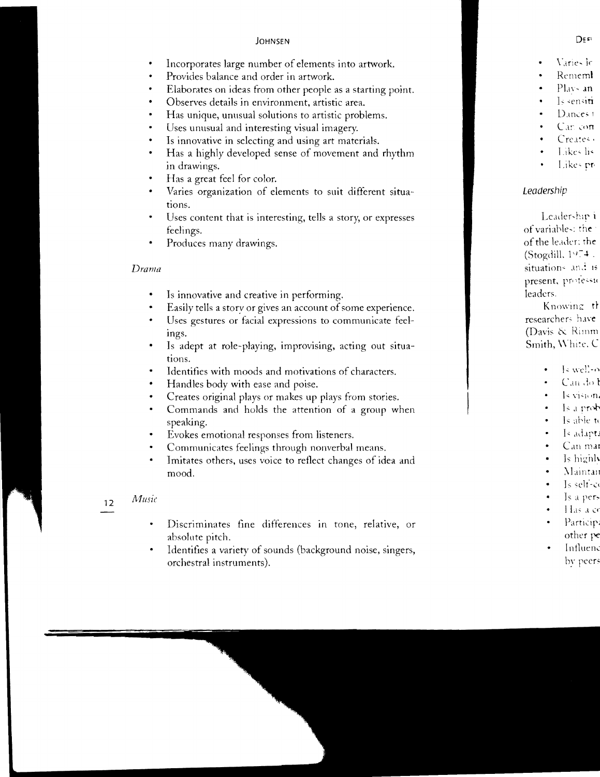- Incorporates large number of elements into artwork.
- $\bullet$ Provides balance and order in artwork.
- Elaborates on ideas from other people as a starting point.  $\bullet$
- $\bullet$ Observes details in environment, artistic area.
- $\bullet$ Has unique, unusual solutions to artistic problems.
- Uses unusual and interesting visual imagery.
- Is innovative in selecting and using art materials.  $\bullet$
- Has a highly developed sense of movement and rhythm  $\bullet$ in drawings.
- Has a great feel for color.
- $\bullet$ Varies organization of elements to suit different situations.
- Uses content that is interesting, tells a story, or expresses feelings.
- Produces many drawings.

# Drama

- Is innovative and creative in performing.  $\bullet$
- Easily tells a story or gives an account of some experience.
- $\bullet$ Uses gestures or facial expressions to communicate feelings.
- Is adept at role-playing, improvising, acting out situa- $\bullet$ tions.
- Identifies with moods and motivations of characters.
- Handles body with ease and poise.  $\bullet$
- $\bullet$ Creates original plays or makes up plays from stories.
- Commands and holds the attention of a group when  $\bullet$ speaking.
- Evokes emotional responses from listeners.  $\bullet$
- Communicates feelings through nonverbal means.
- $\bullet$ Imitates others, uses voice to reflect changes of idea and mood.

#### Music  $12$

- Discriminates fine differences in tone, relative, or  $\bullet$ absolute pitch.
- Identifies a variety of sounds (background noise, singers,  $\bullet$ orchestral instruments).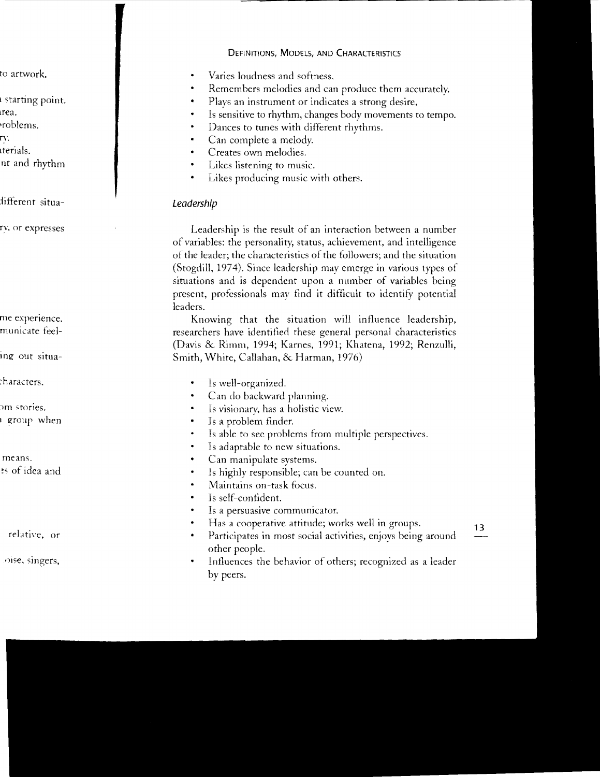- Varies loudness and softness,  $\bullet$
- $\bullet$ Remembers melodies and can produce them accurately.
- Plays an instrument or indicates a strong desire. ۰
- Is sensitive to rhythm, changes body movements to tempo,
- Dances to tunes with different rhythms,
- Can complete a melody.
- $\bullet$ Creates own melodies.
- Likes listening to music.
- Likes producing music with others. ٠

# Leadership

Leadership is the result of an interaction between a number of variables: the personality, status, achievement, and intelligence of the leader; the characteristics of the followers; and the situation (Stogdill, 1974), Since leadership may emerge in various types of situations and is dependent upon a number of variables being present, professionals may find it difficult to identify potential leaders.

Knowing that the situation will influence leadership, researchers have identified these general personal characteristics (Davis & Rimm, 1994; Karnes, 1991; Khatena, 1992; Renzulli, Smith, White, Callahan, & Harman, 1976)

- $\bullet$ Is well-organized.
- Can do backward planning.
- $\bullet$ Is visionary, has a holistic view.
- Is a problem finder.
- $\bullet$ Is able to see problems from multiple perspectives.
- Is adaptable to new situations.
- ۰ Can manipulate systems.
- Is highly responsible; can be counted on. .
- Maintains on-task focus.  $\bullet$
- Is self-contident.
- $\bullet$ Is a persuasive communicator.
- ٠ Has a cooperative attitude; works well in groups.
- Participates in most social activities, enjoys being around other people.
- Influences the behavior of others; recognized as a leader  $\bullet$ by peers.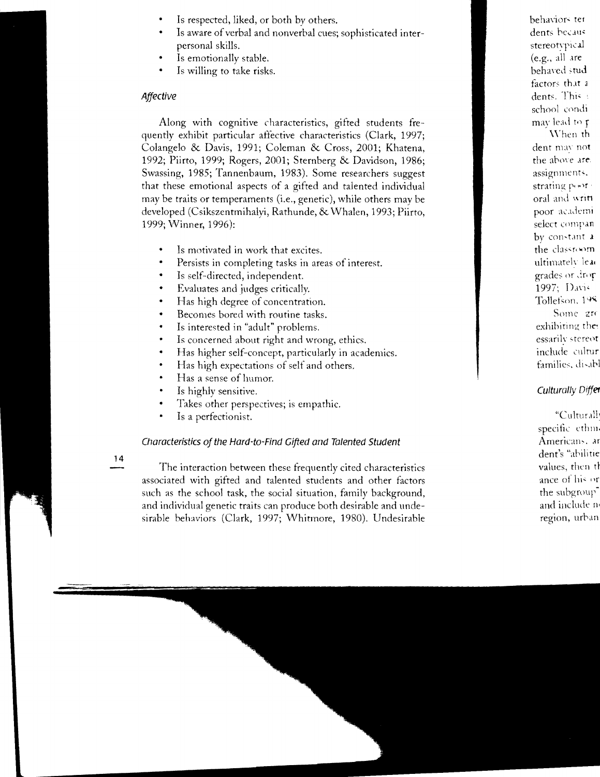- Is respected, liked, or both by others.
- Is aware of verbal and nonverbal cues; sophisticated inter- $\bullet$ personal skills.
- Is emotionally stable.
- Is willing to take risks.  $\bullet$

# Affective

Along with cognitive characteristics, gifted students frequently exhibit particular affective characteristics (Clark, 1997; Colangelo & Davis, 1991; Coleman & Cross, 2001; Khatena, 1992; Piirto, 1999; Rogers, 2001; Sternberg & Davidson, 1986; Swassing, 1985; Tannenbaum, 1983). Some researchers suggest that these emotional aspects of a gifted and talented individual may be traits or temperaments (i.e., genetic), while others may be developed (Csikszentmihalyi, Rathunde, & Whalen, 1993; Piirto, 1999; Winner, 1996):

- $\bullet$ Is motivated in work that excites.
- $\bullet$ Persists in completing tasks in areas of interest.
- Is self-directed, independent.  $\bullet$
- Evaluates and judges critically. ٠
- Has high degree of concentration.  $\bullet$
- Becomes bored with routine tasks.  $\bullet$
- Is interested in "adult" problems.  $\bullet$
- Is concerned about right and wrong, ethics.  $\bullet$
- Has higher self-concept, particularly in academics.  $\bullet$
- Has high expectations of self and others.  $\bullet$
- Has a sense of humor.  $\bullet$
- $\bullet$ Is highly sensitive.
- Takes other perspectives; is empathic.  $\bullet$
- Is a perfectionist. ٠

# Characteristics of the Hard-to-Find Gifted and Talented Student

14

The interaction between these frequently cited characteristics associated with gifted and talented students and other factors such as the school task, the social situation, family background, and individual genetic traits can produce both desirable and undesirable behaviors (Clark, 1997; Whitmore, 1980). Undesirable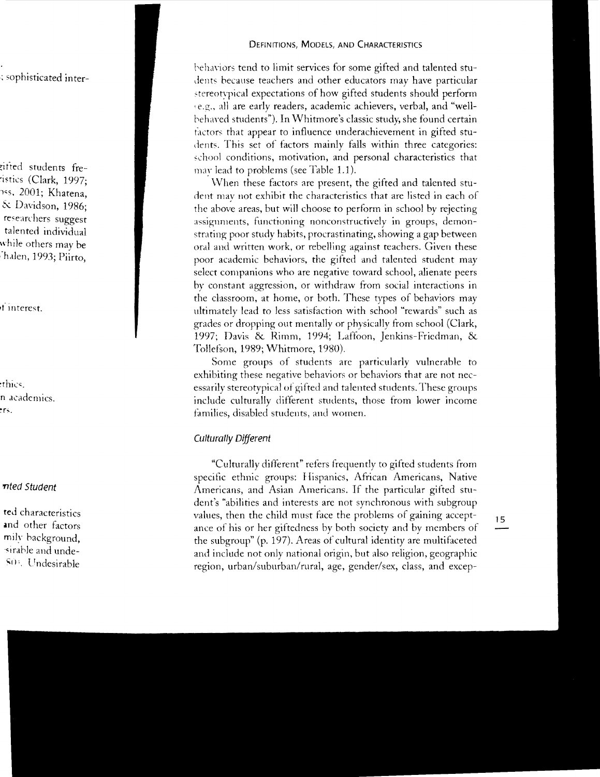behaviors tend to limit services for some gifted and talented students hecause teachers and other educators may have particular stereotypical expectations of how gifted students should perform 'e.g.. all are early readers, academic achievers, verbal, and "wellbehaved students"). In Whitmore's classic study, she found certain factors that appear to influence underachievement in gifted students. This set of factors mainly falls within three categories: school conditions, motivation, and personal characteristics that may lead to problems (see Table 1.1).

When these factors are present, the gifted and talented student mav not exhibit the characteristics that are listed in each of the above areas, but will choose to perform in school by rejecting assignments, functioning nonconstructively in groups, demonstrating poor study habits, procrastinating, showing a gap between oral and written work, or rebelling against teachers. Given these poor academic behaviors, the gifted and talented student may select companions who are negative toward school, alienate peers by constant aggression, or withdraw from social interactions in the classroom, at home, or both. These types of behaviors may ultimately lead to less satisfaction with school "rewards" such as grades or dropping out mentally or physically from school (Clark, 1997; Davis & Rimm, 1994; Laffoon, Jenkins-Friedman, & Tollefson, 1989; \Vhitmore, 1980).

Some groups of students are particularly vulnerable to exhibiting these negative behaviors or behaviors that are not necessarily stereotypical of gifted and talented students. These groups include culturally different students, those from lower income families, disabled students, and women.

# Culturally Different

"Culturally different" refers frequently to gifted students from specific ethnic groups: Hispanics, African Americans, Native Americans, and Asian Americans. If the particular gifted student's "abilities and interests are not synchronous with subgroup values, then the child must face the problems of gaining acceptance of his or her giftedness by both society and by members of the subgroup" (p. 197). Areas of cultural identity are multifaceted and include not only national origin, but also religion, geographic region, urban/suburban/rural, age, gender/sex, class, and excep-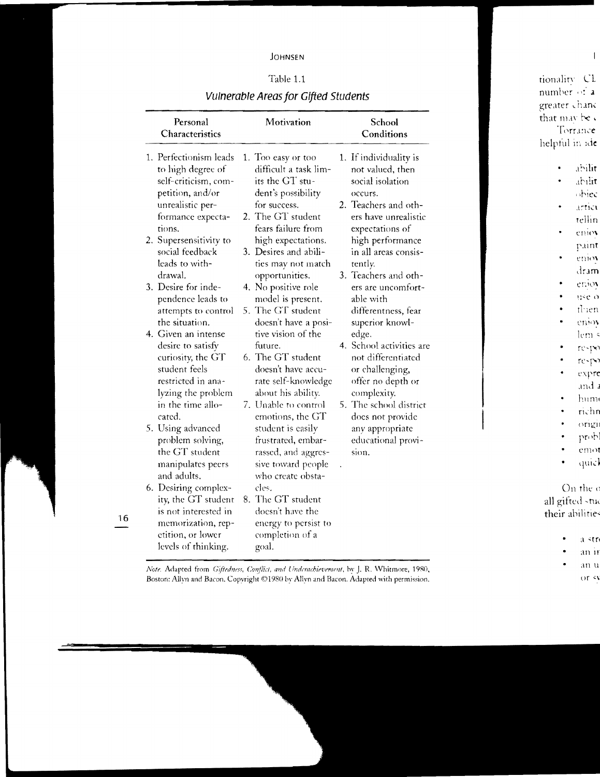# Table 1.1

| Personal<br>Characteristics                                                                                                                     | Motivation                                                                                                                                    |  | School<br>Conditions                                                                                                                                                                                                                                                                                                                                                                          |
|-------------------------------------------------------------------------------------------------------------------------------------------------|-----------------------------------------------------------------------------------------------------------------------------------------------|--|-----------------------------------------------------------------------------------------------------------------------------------------------------------------------------------------------------------------------------------------------------------------------------------------------------------------------------------------------------------------------------------------------|
| 1. Perfectionism leads<br>to high degree of<br>self-criticism, com-<br>petition, and/or<br>unrealistic per-<br>formance expecta-                | 1. Too easy or too<br>difficult a task lim-<br>its the GT stu-<br>dent's possibility<br>for success.<br>2. The GT student                     |  | 1. If individuality is<br>not valued, then<br>social isolation<br>occurs.<br>2. Teachers and oth-<br>ers have unrealistic                                                                                                                                                                                                                                                                     |
| tions.<br>2. Supersensitivity to<br>social feedback<br>leads to with-<br>drawal.                                                                | fears failure from<br>high expectations.<br>3. Desires and abili-<br>ties may not match<br>opportunities.                                     |  | expectations of<br>high performance<br>in all areas consis-<br>tently.<br>3. Teachers and oth-<br>ers are uncomfort-<br>able with<br>differentness, fear<br>superior knowl-<br>edge.<br>4. School activities are<br>not differentiated<br>or challenging,<br>offer no depth or<br>complexity.<br>5. The school district<br>does not provide<br>any appropriate<br>educational provi-<br>sion. |
| 3. Desire for inde-<br>pendence leads to<br>attempts to control<br>the situation.                                                               | 4. No positive role<br>model is present.<br>5. The GT student<br>doesn't have a posi-                                                         |  |                                                                                                                                                                                                                                                                                                                                                                                               |
| 4. Given an intense<br>desire to satisfy<br>curiosity, the GT<br>student feels<br>restricted in ana-<br>lyzing the problem<br>in the time allo- | tive vision of the<br>future.<br>6. The GT student<br>doesn't have accu-<br>rate self-knowledge<br>about his ability.<br>7. Unable to control |  |                                                                                                                                                                                                                                                                                                                                                                                               |
| cated.<br>5. Using advanced<br>problem solving,<br>the GT student<br>manipulates peers<br>and adults.                                           | emotions, the GT<br>student is easily<br>frustrated, embar-<br>rassed, and aggres-<br>sive toward people<br>who create obsta-                 |  |                                                                                                                                                                                                                                                                                                                                                                                               |
| 6. Desiring complex-<br>ity, the GT student<br>is not interested in<br>memorization, rep-<br>etition, or lower<br>levels of thinking.           | cles.<br>8. The GT student<br>doesn't have the<br>energy to persist to<br>completion of a<br>goal.                                            |  |                                                                                                                                                                                                                                                                                                                                                                                               |

# Vulnerable Areas for Gifted Students

Note. Adapted from Giftedness, Conflict, and Underachievement, by J. R. Whitmore, 1980, Boston: Allyn and Bacon. Copyright ©1980 by Allyn and Bacon. Adapted with permission.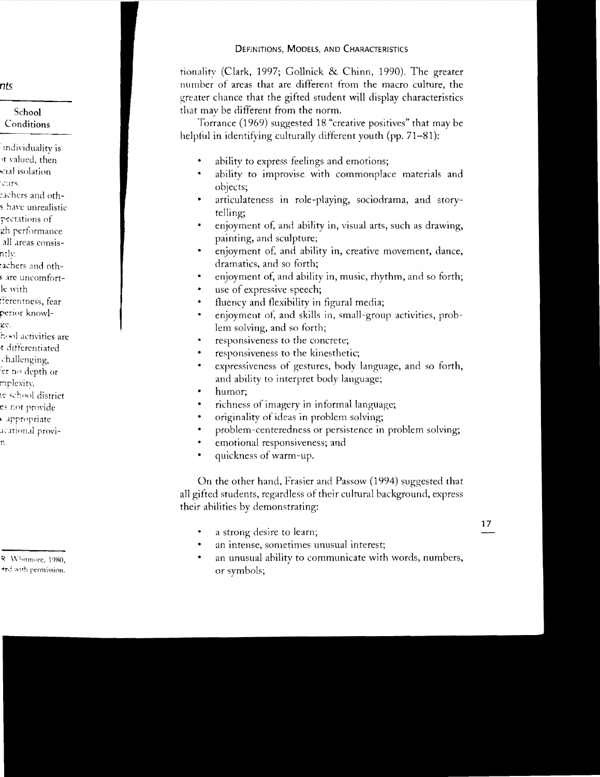tionality (Clark, 1997; Gollnick & Chinn, 1990). The greater number of areas that are different from the macro culture, the greater chance that the gifted student will display characteristics that may be different from the norm.

Torrance (1969) suggested 18 "creative positives" that may be helpful in identifying culturally different youth (pp. 71-81):

- ability to express feelings and emotions;
- ability to improvise with commonplace materials and  $\bullet$ objects;
- articulateness in role-playing, sociodrama, and story- $\bullet$ telling:
- enjoyment of, and ability in, visual arts, such as drawing,  $\bullet$ painting, and sculpture;
- enjoyment of, and ability in, creative movement, dance,  $\bullet$ dramatics, and so forth;
- enjoyment of, and ability in, music, rhythm, and so forth;
- use of expressive speech;  $\bullet$
- fluency and flexibility in figural media;  $\bullet$
- enjoyment of, and skills in, small-group activities, prob- $\bullet$ lem solving, and so forth;
- responsiveness to the concrete;  $\bullet$
- responsiveness to the kinesthetic;  $\bullet$
- expressiveness of gestures, body language, and so forth,  $\bullet$ and ability to interpret body language;
- humor;
- $\bullet$ richness of imagery in informal language;
- originality of ideas in problem solving;
- problem-centeredness or persistence in problem solving;  $\bullet$
- emotional responsiveness; and  $\bullet$
- quickness of warm-up.  $\bullet$

On the other hand, Frasier and Passow (1994) suggested that all gifted students, regardless of their cultural background, express their abilities by demonstrating:

- a strong desire to learn;
- an intense, sometimes unusual interest;  $\bullet$
- an unusual ability to communicate with words, numbers, or symbols;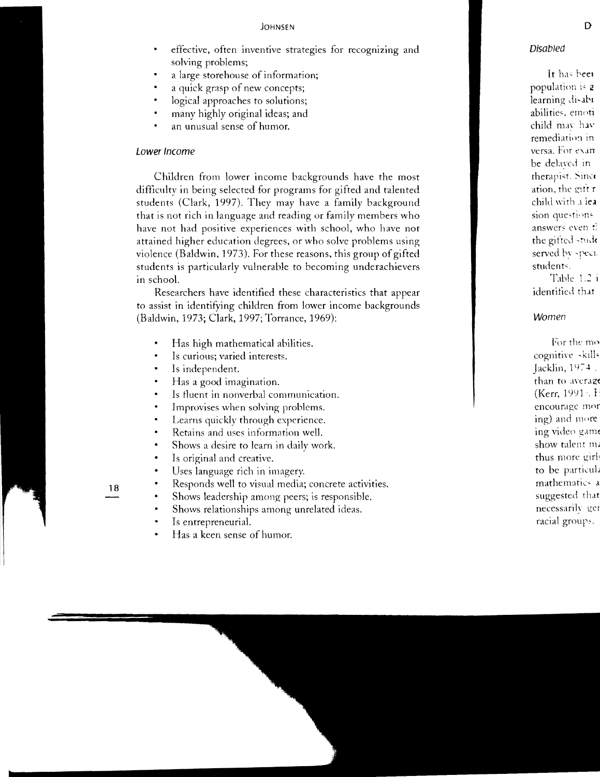- effective, often inventive strategies for recognizing and  $\bullet$ solving problems;
- a large storehouse of information;
- a quick grasp of new concepts;
- logical approaches to solutions;  $\bullet$
- many highly original ideas; and
- an unusual sense of humor.  $\bullet$

# Lower Income

Children from lower income backgrounds have the most difficulty in being selected for programs for gifted and talented students (Clark, 1997). They may have a family background that is not rich in language and reading or family members who have not had positive experiences with school, who have not attained higher education degrees, or who solve problems using violence (Baldwin, 1973). For these reasons, this group of gifted students is particularly vulnerable to becoming underachievers in school.

Researchers have identified these characteristics that appear to assist in identifying children from lower income backgrounds (Baldwin, 1973; Clark, 1997; Torrance, 1969):

- $\bullet$ Has high mathematical abilities.
- Is curious; varied interests.  $\bullet$
- Is independent.  $\bullet$
- $\bullet$ Has a good imagination.
- Is fluent in nonverbal communication. ٠
- Improvises when solving problems. ۰
- Learns quickly through experience.  $\bullet$
- Retains and uses information well.  $\bullet$
- $\bullet$ Shows a desire to learn in daily work.
- Is original and creative.  $\bullet$
- $\bullet$ Uses language rich in imagery.
- Responds well to visual media; concrete activities.  $\bullet$
- Shows leadership among peers; is responsible.  $\bullet$
- Shows relationships among unrelated ideas.  $\bullet$
- Is entrepreneurial.  $\bullet$
- Has a keen sense of humor.  $\bullet$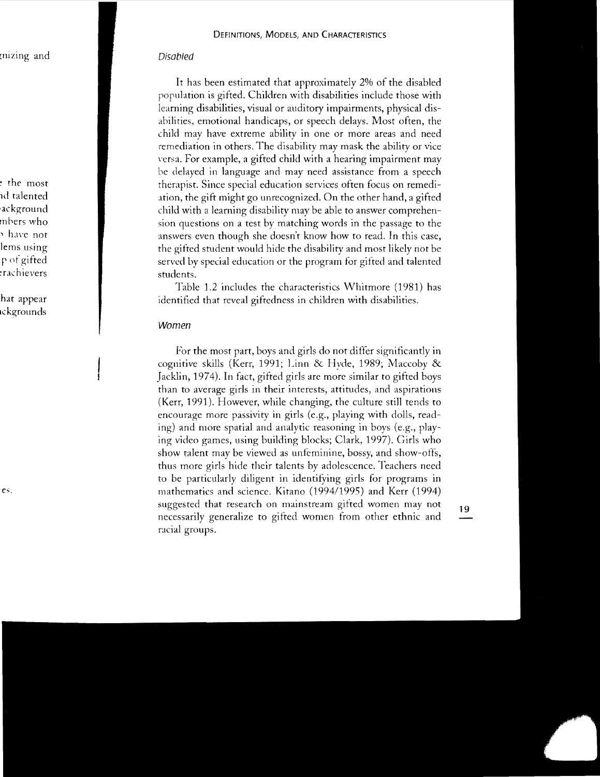### Disabled

It has been estimated that approximately 2% of the disabled population is gifted. Children with disabilities include those with learning disabilities, visual or auditory impairments, physical disabilities, emotional handicaps, or speech delays. Most often, the child may have extreme ability in one or more areas and need remediation in others. The disability may mask the ability or vice versa. For example, a gifted child with a hearing impairment may be delayed in language and may need assistance from a speech therapist. Since special education services often focus on remediation, the gift might go unrecognized. On the other hand, a gifted child with a learning disability may be able to answer comprehension questions on a test by matching words in the passage to the answers even though she doesn't know how to read. In this case, the gifted student would hide the disability and most likely not be served by special education or the program for gifted and talented students.

Table 1.2 includes the characteristics Whitmore (1981) has identified that reveal giftedness in children with disabilities.

### Women

For the most part, boys and girls do not differ significantly in cognitive skills (Kerr, 1991; Linn & Hyde, 1989; Maccoby & Jacklin, 1974). In fact, gifted girls arc more similar to gifted boys than to average girls in their interests, attitudes, and aspirations (Kerr, 1991). However, while changing, the culture still tends to encourage more passivity in girls (e.g., playing with dolls, reading) and more spatial and analytic reasoning in boys (e.g., playing video games, using building blocks; Clark, 1997). Girls who show talent may be viewed as unfeminine, bossy, and show-offs, thus more girls hide their talents by adolescence. Teachers need to be particularly diligent in identifying girls for programs in mathematics and science. Kitano (199411995) and Kerr (1994) suggested that research on mainstream gifted women may not necessarily generalize to gifted women from other ethnic and racial groups.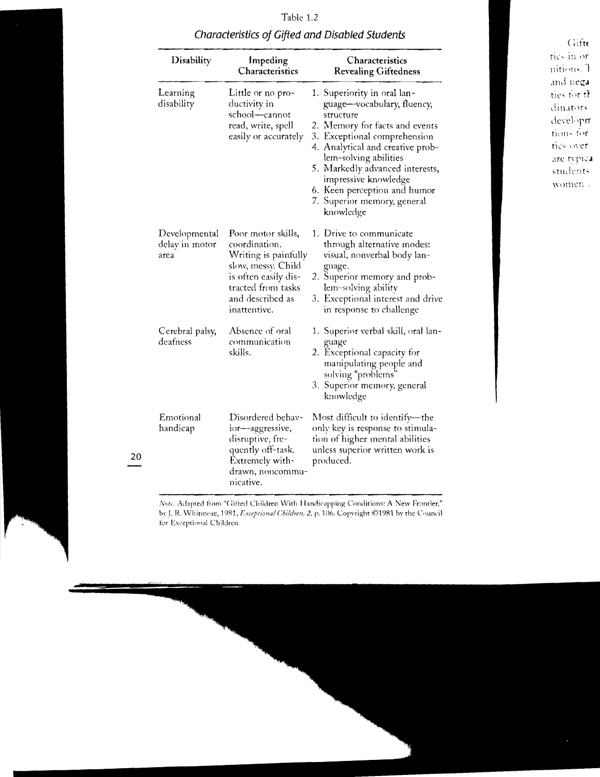| Disability                              | Impeding<br>Characteristics                                                                                                                                         | Characteristics<br><b>Revealing Giftedness</b>                                                                                                                                                                                                                                                                                               |
|-----------------------------------------|---------------------------------------------------------------------------------------------------------------------------------------------------------------------|----------------------------------------------------------------------------------------------------------------------------------------------------------------------------------------------------------------------------------------------------------------------------------------------------------------------------------------------|
| Learning<br>disability                  | Little or no pro-<br>ductivity in<br>school-cannot<br>read, write, spell<br>easily or accurately                                                                    | 1. Superiority in oral lan-<br>guage-vocabulary, fluency,<br>structure<br>2. Memory for facts and events<br>3. Exceptional comprehension<br>4. Analytical and creative prob-<br>lem-solving abilities<br>5. Markedly advanced interests,<br>impressive knowledge<br>6. Keen perception and humor<br>7. Superior memory, general<br>knowledge |
| Developmental<br>delay in motor<br>area | Poor motor skills,<br>coordination.<br>Writing is painfully<br>slow, messy. Child<br>is often easily dis-<br>tracted from tasks<br>and described as<br>inattentive. | 1. Drive to communicate<br>through alternative modes:<br>visual, nonverbal body lan-<br>guage.<br>2. Superior memory and prob-<br>lem-solving ability<br>3. Exceptional interest and drive<br>in response to challenge                                                                                                                       |
| Cerebral palsy,<br>deafness             | Absence of oral<br>communication<br>skills.                                                                                                                         | 1. Superior verbal skill, oral lan-<br>guage<br>2. Exceptional capacity for<br>manipulating people and<br>solving "problems"<br>3. Superior memory, general<br>knowledge                                                                                                                                                                     |
| Emotional<br>handicap                   | Disordered behav-<br>ior-aggressive,<br>disruptive, fre-<br>quently off-task.<br>Extremely with-<br>drawn, noncommu-<br>nicative.                                   | Most difficult to identify—the<br>only key is response to stimula-<br>tion of higher mental abilities<br>unless superior written work is<br>produced.                                                                                                                                                                                        |

# Table 1.2 Characteristics of Gifted and Disabled Students

Note. Adapted from "Gifted Children With Handicapping Conditions: A New Frontier," by J. R. Whitmore, 1981, Exceptional Children, 2, p. 106. Copyright ©1981 by the Council for Exceptional Children.